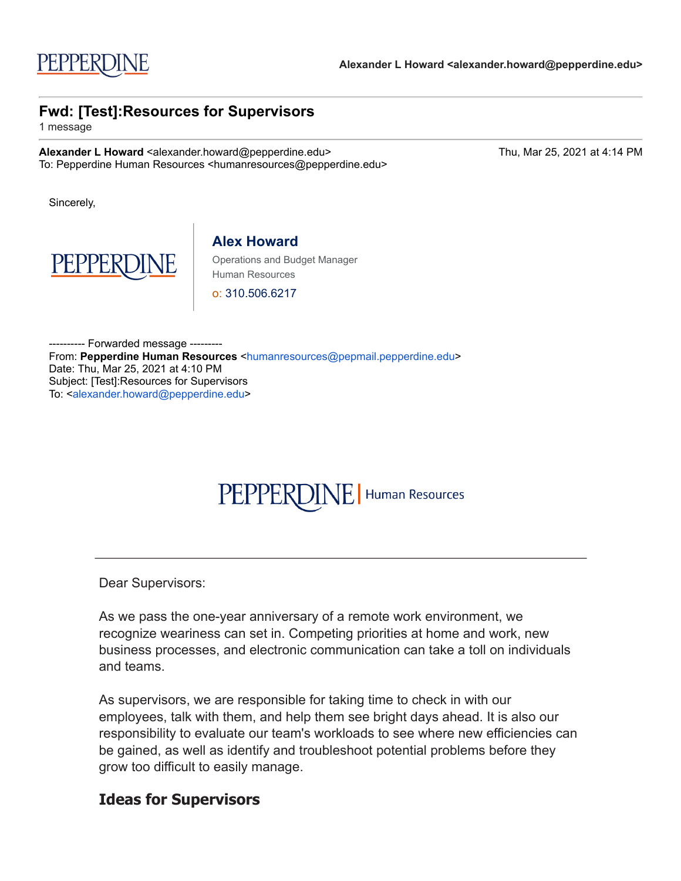# PEPPERDINE | Human Resources

Dear Supervisors:

As we pass the one-year anniversary of a remote work environment, we recognize weariness can set in. Competing priorities at home and work, new business processes, and electronic communication can take a toll on individuals and teams.

As supervisors, we are responsible for taking time to check in with our employees, talk with them, and help them see bright days ahead. It is also our responsibility to evaluate our team's workloads to see where new efficiencies can be gained, as well as identify and troubleshoot potential problems before they grow too difficult to easily manage.

### **Ideas for Supervisors**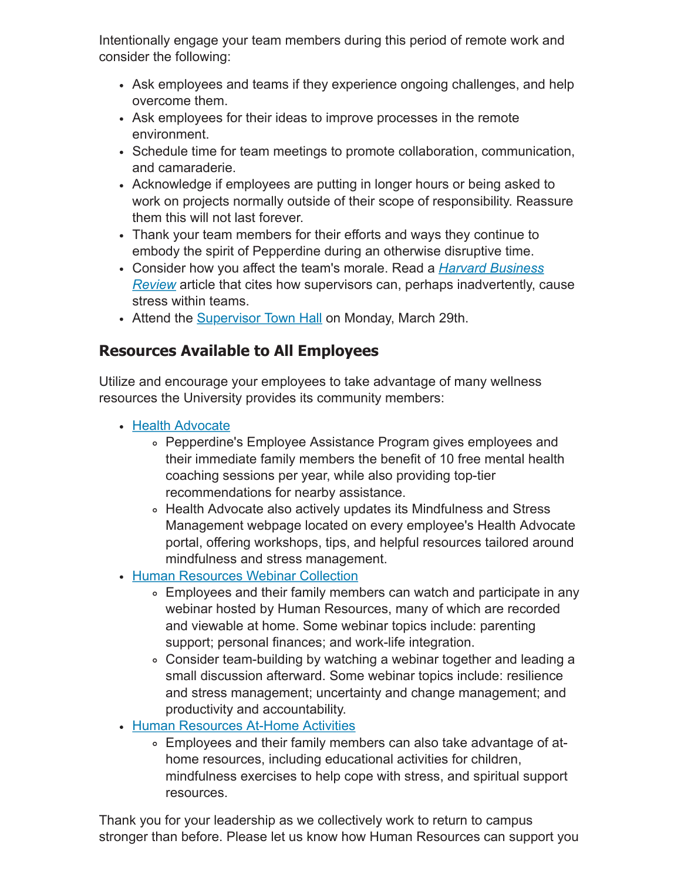Intentionally engage your team members during this period of remote work and consider the following:

- Ask employees and teams if they experience ongoing challenges, and help overcome them.
- Ask employees for their ideas to improve processes in the remote environment.
- Schedule time for team meetings to promote collaboration, communication, and camaraderie.
- Acknowledge if employees are putting in longer hours or being asked to work on projects normally outside of their scope of responsibility. Reassure them this will not last forever.
- Thank your team members for their efforts and ways they continue to embody the spirit of Pepperdine during an otherwise disruptive time.
- Consider how you affect the team's morale. Read a *Harvard Business Review* [article that cites how supervisors can, perhaps inadvertently, c](http://click.pepmail.pepperdine.edu/?qs=bf2e9e45040da32eea08f4eb12a127f3e11553c1e549f431350cbbf7403b4b208dc18a3d7c396be2ed5a5276af4b079974b21e90b7a03654)ause stress within teams.
- Attend the [Supervisor Town Hall](http://click.pepmail.pepperdine.edu/?qs=bf2e9e45040da32e87a5380f2e66c1490548cb377c6a444fa31fb8f5f44bb1ccf64165349d42adbd7593416c98ec6311e5e0337c7dec4687) on Monday, March 29th.

## **Resources Available to All Employees**

Utilize and encourage your employees to take advantage of many wellness resources the University provides its community members:

- [Health Advocate](http://click.pepmail.pepperdine.edu/?qs=bf2e9e45040da32e685ca8c210e216dbd704059b6c1111d2617201314dad7ee8222eb2e7167869b80de5354535bc9bf0fa38184cf48abf5c)
	- Pepperdine's Employee Assistance Program gives employees and their immediate family members the benefit of 10 free mental health coaching sessions per year, while also providing top-tier recommendations for nearby assistance.
	- Health Advocate also actively updates its Mindfulness and Stress Management webpage located on every employee's Health Advocate portal, offering workshops, tips, and helpful resources tailored around mindfulness and stress management.
- [Human Resources Webinar Collection](http://click.pepmail.pepperdine.edu/?qs=bf2e9e45040da32ebf681c124bc37261887869c19ff5a22386654d54bddc00e1c1c1c4e47d7ac77418de51732de0d7f589908123daa0f244)
	- Employees and their family members can watch and participate in any webinar hosted by Human Resources, many of which are recorded and viewable at home. Some webinar topics include: parenting support; personal finances; and work-life integration.
	- Consider team-building by watching a webinar together and leading a small discussion afterward. Some webinar topics include: resilience and stress management; uncertainty and change management; and productivity and accountability.
- [Human Resources At-Home Activities](http://click.pepmail.pepperdine.edu/?qs=bf2e9e45040da32e31377d458ae9a7f1ae9d6ad496430a19cb8893f2ee85f267be01a4cf0f9026aacc61fb71da06a0280c4cd43e4d90e407)
	- Employees and their family members can also take advantage of athome resources, including educational activities for children, mindfulness exercises to help cope with stress, and spiritual support resources.

Thank you for your leadership as we collectively work to return to campus stronger than before. Please let us know how Human Resources can support you